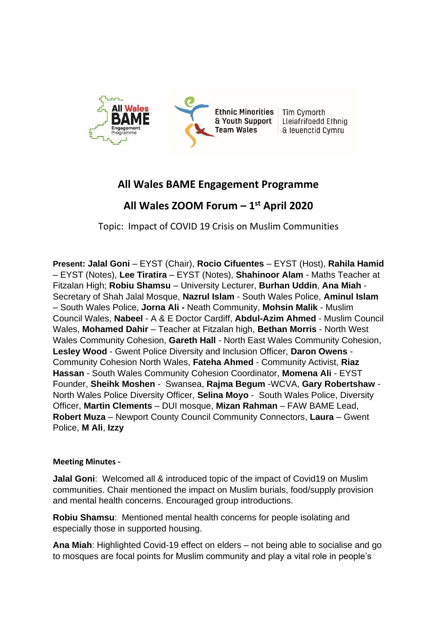

## **All Wales BAME Engagement Programme**

## **All Wales ZOOM Forum – 1 st April 2020**

Topic: Impact of COVID 19 Crisis on Muslim Communities

**Present: Jalal Goni** – EYST (Chair), **Rocio Cifuentes** – EYST (Host), **Rahila Hamid**  – EYST (Notes), **Lee Tiratira** – EYST (Notes), **Shahinoor Alam** - Maths Teacher at Fitzalan High; **Robiu Shamsu** – University Lecturer, **Burhan Uddin**, **Ana Miah** - Secretary of Shah Jalal Mosque, **Nazrul Islam** - South Wales Police, **Aminul Islam** – South Wales Police, **Jorna Ali -** Neath Community, **Mohsin Malik** - Muslim Council Wales, **Nabeel** - A & E Doctor Cardiff, **Abdul-Azim Ahmed** - Muslim Council Wales, **Mohamed Dahir** – Teacher at Fitzalan high, **Bethan Morris** - North West Wales Community Cohesion, **Gareth Hall** - North East Wales Community Cohesion, **Lesley Wood** - Gwent Police Diversity and Inclusion Officer, **Daron Owens** - Community Cohesion North Wales, **Fateha Ahmed** - Community Activist, **Riaz Hassan** - South Wales Community Cohesion Coordinator, **Momena Ali** - EYST Founder, **Sheihk Moshen** - Swansea, **Rajma Begum** -WCVA, **Gary Robertshaw** - North Wales Police Diversity Officer, **Selina Moyo** - South Wales Police, Diversity Officer, **Martin Clements** – DUI mosque, **Mizan Rahman** – FAW BAME Lead, **Robert Muza** – Newport County Council Community Connectors, **Laura** – Gwent Police, **M Ali**, **Izzy**

## **Meeting Minutes -**

**Jalal Goni**: Welcomed all & introduced topic of the impact of Covid19 on Muslim communities. Chair mentioned the impact on Muslim burials, food/supply provision and mental health concerns. Encouraged group introductions.

**Robiu Shamsu**: Mentioned mental health concerns for people isolating and especially those in supported housing.

**Ana Miah**: Highlighted Covid-19 effect on elders – not being able to socialise and go to mosques are focal points for Muslim community and play a vital role in people's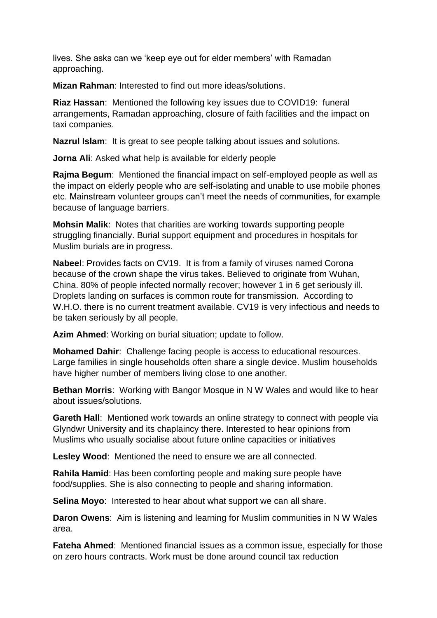lives. She asks can we 'keep eye out for elder members' with Ramadan approaching.

**Mizan Rahman**: Interested to find out more ideas/solutions.

**Riaz Hassan**: Mentioned the following key issues due to COVID19: funeral arrangements, Ramadan approaching, closure of faith facilities and the impact on taxi companies.

**Nazrul Islam**: It is great to see people talking about issues and solutions.

**Jorna Ali:** Asked what help is available for elderly people

**Rajma Begum**: Mentioned the financial impact on self-employed people as well as the impact on elderly people who are self-isolating and unable to use mobile phones etc. Mainstream volunteer groups can't meet the needs of communities, for example because of language barriers.

**Mohsin Malik**: Notes that charities are working towards supporting people struggling financially. Burial support equipment and procedures in hospitals for Muslim burials are in progress.

**Nabeel**: Provides facts on CV19. It is from a family of viruses named Corona because of the crown shape the virus takes. Believed to originate from Wuhan, China. 80% of people infected normally recover; however 1 in 6 get seriously ill. Droplets landing on surfaces is common route for transmission. According to W.H.O. there is no current treatment available. CV19 is very infectious and needs to be taken seriously by all people.

**Azim Ahmed**: Working on burial situation; update to follow.

**Mohamed Dahir**: Challenge facing people is access to educational resources. Large families in single households often share a single device. Muslim households have higher number of members living close to one another.

**Bethan Morris**: Working with Bangor Mosque in N W Wales and would like to hear about issues/solutions.

**Gareth Hall**: Mentioned work towards an online strategy to connect with people via Glyndwr University and its chaplaincy there. Interested to hear opinions from Muslims who usually socialise about future online capacities or initiatives

**Lesley Wood**: Mentioned the need to ensure we are all connected.

**Rahila Hamid**: Has been comforting people and making sure people have food/supplies. She is also connecting to people and sharing information.

**Selina Moyo**: Interested to hear about what support we can all share.

**Daron Owens**: Aim is listening and learning for Muslim communities in N W Wales area.

**Fateha Ahmed**: Mentioned financial issues as a common issue, especially for those on zero hours contracts. Work must be done around council tax reduction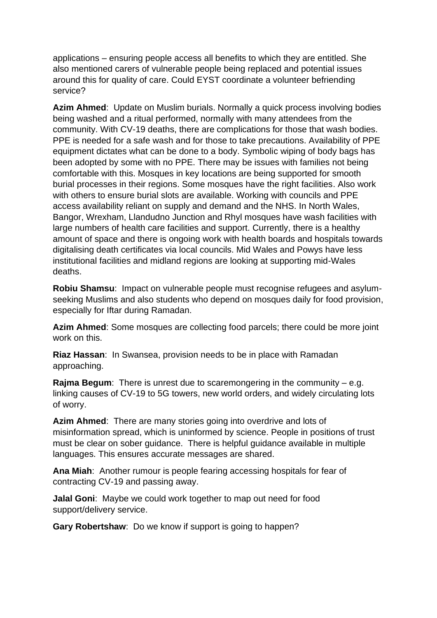applications – ensuring people access all benefits to which they are entitled. She also mentioned carers of vulnerable people being replaced and potential issues around this for quality of care. Could EYST coordinate a volunteer befriending service?

**Azim Ahmed**: Update on Muslim burials. Normally a quick process involving bodies being washed and a ritual performed, normally with many attendees from the community. With CV-19 deaths, there are complications for those that wash bodies. PPE is needed for a safe wash and for those to take precautions. Availability of PPE equipment dictates what can be done to a body. Symbolic wiping of body bags has been adopted by some with no PPE. There may be issues with families not being comfortable with this. Mosques in key locations are being supported for smooth burial processes in their regions. Some mosques have the right facilities. Also work with others to ensure burial slots are available. Working with councils and PPE access availability reliant on supply and demand and the NHS. In North Wales, Bangor, Wrexham, Llandudno Junction and Rhyl mosques have wash facilities with large numbers of health care facilities and support. Currently, there is a healthy amount of space and there is ongoing work with health boards and hospitals towards digitalising death certificates via local councils. Mid Wales and Powys have less institutional facilities and midland regions are looking at supporting mid-Wales deaths.

**Robiu Shamsu**: Impact on vulnerable people must recognise refugees and asylumseeking Muslims and also students who depend on mosques daily for food provision, especially for Iftar during Ramadan.

**Azim Ahmed**: Some mosques are collecting food parcels; there could be more joint work on this.

**Riaz Hassan**: In Swansea, provision needs to be in place with Ramadan approaching.

**Rajma Begum**: There is unrest due to scaremongering in the community – e.g. linking causes of CV-19 to 5G towers, new world orders, and widely circulating lots of worry.

**Azim Ahmed**: There are many stories going into overdrive and lots of misinformation spread, which is uninformed by science. People in positions of trust must be clear on sober guidance. There is helpful guidance available in multiple languages. This ensures accurate messages are shared.

**Ana Miah**: Another rumour is people fearing accessing hospitals for fear of contracting CV-19 and passing away.

**Jalal Goni**: Maybe we could work together to map out need for food support/delivery service.

**Gary Robertshaw**: Do we know if support is going to happen?